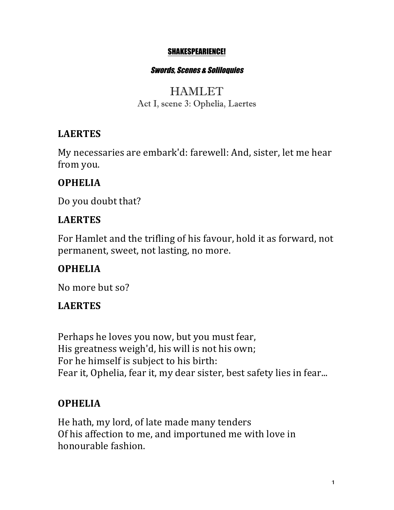#### SHAKESPEARIENCE!

#### Swords, Scenes & Soliloquies

### HAMLET Act I, scene 3: Ophelia, Laertes

### **LAERTES**

My necessaries are embark'd: farewell: And, sister, let me hear from you.

### **OPHELIA**

Do you doubt that?

### **LAERTES**

For Hamlet and the trifling of his favour, hold it as forward, not permanent, sweet, not lasting, no more.

## **OPHELIA**

No more but so?

### **LAERTES**

Perhaps he loves you now, but you must fear, His greatness weigh'd, his will is not his own; For he himself is subject to his birth: Fear it, Ophelia, fear it, my dear sister, best safety lies in fear...

## **OPHELIA**

He hath, my lord, of late made many tenders Of his affection to me, and importuned me with love in honourable fashion.